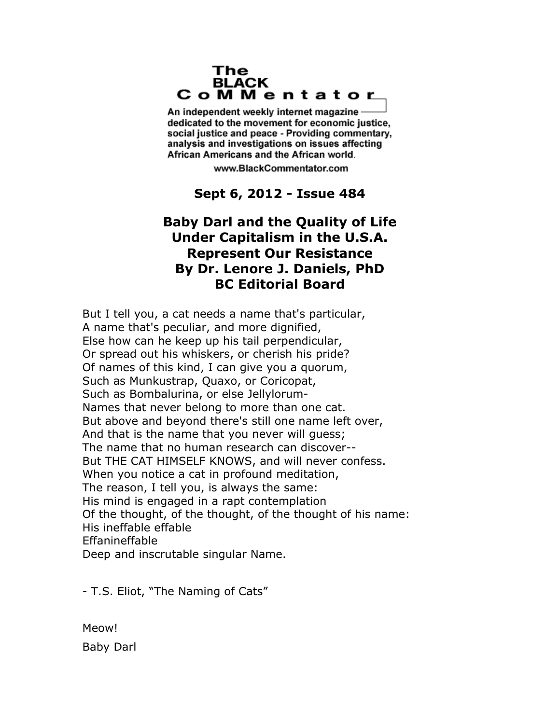### The **BLACK** CoMMentator

An independent weekly internet magazine dedicated to the movement for economic justice. social justice and peace - Providing commentary, analysis and investigations on issues affecting African Americans and the African world.

www.BlackCommentator.com

**Sept 6, 2012 - Issue 484**

# **Baby Darl and the Quality of Life Under Capitalism in the U.S.A. Represent Our Resistance By Dr. Lenore J. Daniels, PhD BC Editorial Board**

But I tell you, a cat needs a name that's particular, A name that's peculiar, and more dignified, Else how can he keep up his tail perpendicular, Or spread out his whiskers, or cherish his pride? Of names of this kind, I can give you a quorum, Such as Munkustrap, Quaxo, or Coricopat, Such as Bombalurina, or else Jellylorum-Names that never belong to more than one cat. But above and beyond there's still one name left over, And that is the name that you never will guess; The name that no human research can discover-- But THE CAT HIMSELF KNOWS, and will never confess. When you notice a cat in profound meditation, The reason, I tell you, is always the same: His mind is engaged in a rapt contemplation Of the thought, of the thought, of the thought of his name: His ineffable effable Effanineffable Deep and inscrutable singular Name.

- T.S. Eliot, "The Naming of Cats"

Meow! Baby Darl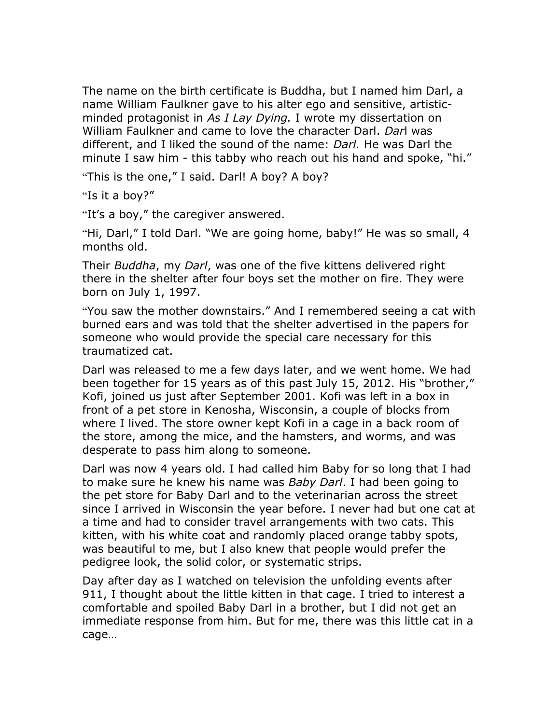The name on the birth certificate is Buddha, but I named him Darl, a name William Faulkner gave to his alter ego and sensitive, artisticminded protagonist in *As I Lay Dying.* I wrote my dissertation on William Faulkner and came to love the character Darl. *Dar*l was different, and I liked the sound of the name: *Darl.* He was Darl the minute I saw him - this tabby who reach out his hand and spoke, "hi."

"This is the one," I said. Darl! A boy? A boy?

"Is it a boy?"

"It's a boy," the caregiver answered.

"Hi, Darl," I told Darl. "We are going home, baby!" He was so small, 4 months old.

Their *Buddha*, my *Darl*, was one of the five kittens delivered right there in the shelter after four boys set the mother on fire. They were born on July 1, 1997.

"You saw the mother downstairs." And I remembered seeing a cat with burned ears and was told that the shelter advertised in the papers for someone who would provide the special care necessary for this traumatized cat.

Darl was released to me a few days later, and we went home. We had been together for 15 years as of this past July 15, 2012. His "brother," Kofi, joined us just after September 2001. Kofi was left in a box in front of a pet store in Kenosha, Wisconsin, a couple of blocks from where I lived. The store owner kept Kofi in a cage in a back room of the store, among the mice, and the hamsters, and worms, and was desperate to pass him along to someone.

Darl was now 4 years old. I had called him Baby for so long that I had to make sure he knew his name was *Baby Darl*. I had been going to the pet store for Baby Darl and to the veterinarian across the street since I arrived in Wisconsin the year before. I never had but one cat at a time and had to consider travel arrangements with two cats. This kitten, with his white coat and randomly placed orange tabby spots, was beautiful to me, but I also knew that people would prefer the pedigree look, the solid color, or systematic strips.

Day after day as I watched on television the unfolding events after 911, I thought about the little kitten in that cage. I tried to interest a comfortable and spoiled Baby Darl in a brother, but I did not get an immediate response from him. But for me, there was this little cat in a cage…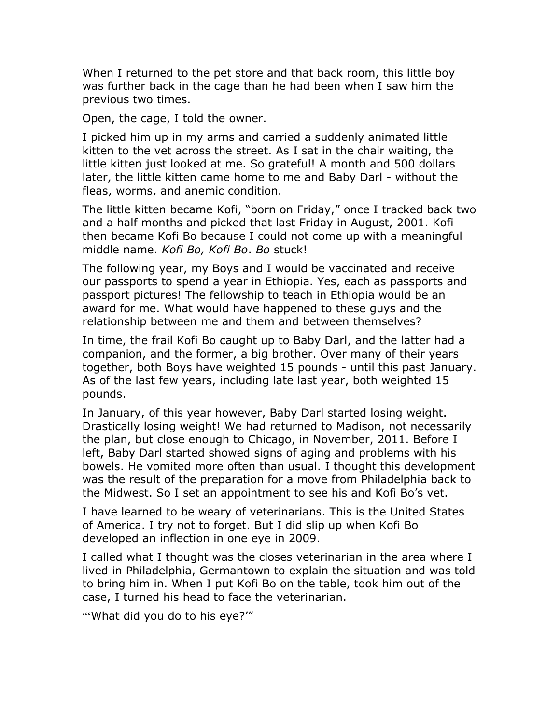When I returned to the pet store and that back room, this little boy was further back in the cage than he had been when I saw him the previous two times.

Open, the cage, I told the owner.

I picked him up in my arms and carried a suddenly animated little kitten to the vet across the street. As I sat in the chair waiting, the little kitten just looked at me. So grateful! A month and 500 dollars later, the little kitten came home to me and Baby Darl - without the fleas, worms, and anemic condition.

The little kitten became Kofi, "born on Friday," once I tracked back two and a half months and picked that last Friday in August, 2001. Kofi then became Kofi Bo because I could not come up with a meaningful middle name. *Kofi Bo, Kofi Bo*. *Bo* stuck!

The following year, my Boys and I would be vaccinated and receive our passports to spend a year in Ethiopia. Yes, each as passports and passport pictures! The fellowship to teach in Ethiopia would be an award for me. What would have happened to these guys and the relationship between me and them and between themselves?

In time, the frail Kofi Bo caught up to Baby Darl, and the latter had a companion, and the former, a big brother. Over many of their years together, both Boys have weighted 15 pounds - until this past January. As of the last few years, including late last year, both weighted 15 pounds.

In January, of this year however, Baby Darl started losing weight. Drastically losing weight! We had returned to Madison, not necessarily the plan, but close enough to Chicago, in November, 2011. Before I left, Baby Darl started showed signs of aging and problems with his bowels. He vomited more often than usual. I thought this development was the result of the preparation for a move from Philadelphia back to the Midwest. So I set an appointment to see his and Kofi Bo's vet.

I have learned to be weary of veterinarians. This is the United States of America. I try not to forget. But I did slip up when Kofi Bo developed an inflection in one eye in 2009.

I called what I thought was the closes veterinarian in the area where I lived in Philadelphia, Germantown to explain the situation and was told to bring him in. When I put Kofi Bo on the table, took him out of the case, I turned his head to face the veterinarian.

"'What did you do to his eye?'"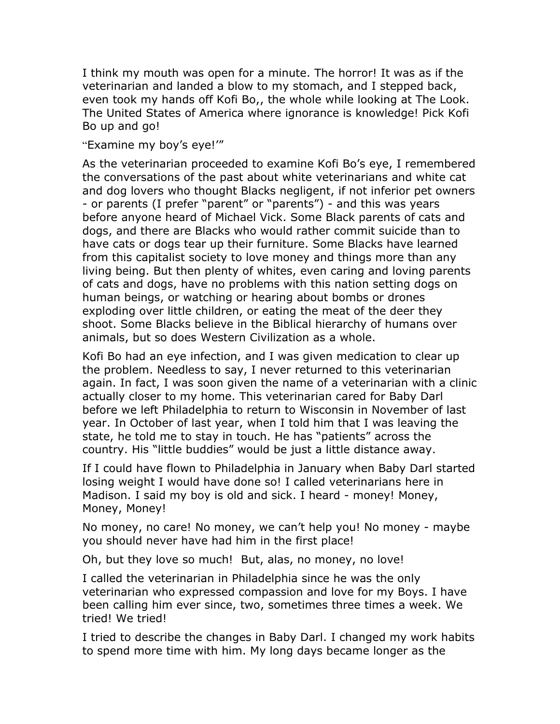I think my mouth was open for a minute. The horror! It was as if the veterinarian and landed a blow to my stomach, and I stepped back, even took my hands off Kofi Bo,, the whole while looking at The Look. The United States of America where ignorance is knowledge! Pick Kofi Bo up and go!

## "Examine my boy's eye!'"

As the veterinarian proceeded to examine Kofi Bo's eye, I remembered the conversations of the past about white veterinarians and white cat and dog lovers who thought Blacks negligent, if not inferior pet owners - or parents (I prefer "parent" or "parents") - and this was years before anyone heard of Michael Vick. Some Black parents of cats and dogs, and there are Blacks who would rather commit suicide than to have cats or dogs tear up their furniture. Some Blacks have learned from this capitalist society to love money and things more than any living being. But then plenty of whites, even caring and loving parents of cats and dogs, have no problems with this nation setting dogs on human beings, or watching or hearing about bombs or drones exploding over little children, or eating the meat of the deer they shoot. Some Blacks believe in the Biblical hierarchy of humans over animals, but so does Western Civilization as a whole.

Kofi Bo had an eye infection, and I was given medication to clear up the problem. Needless to say, I never returned to this veterinarian again. In fact, I was soon given the name of a veterinarian with a clinic actually closer to my home. This veterinarian cared for Baby Darl before we left Philadelphia to return to Wisconsin in November of last year. In October of last year, when I told him that I was leaving the state, he told me to stay in touch. He has "patients" across the country. His "little buddies" would be just a little distance away.

If I could have flown to Philadelphia in January when Baby Darl started losing weight I would have done so! I called veterinarians here in Madison. I said my boy is old and sick. I heard - money! Money, Money, Money!

No money, no care! No money, we can't help you! No money - maybe you should never have had him in the first place!

Oh, but they love so much! But, alas, no money, no love!

I called the veterinarian in Philadelphia since he was the only veterinarian who expressed compassion and love for my Boys. I have been calling him ever since, two, sometimes three times a week. We tried! We tried!

I tried to describe the changes in Baby Darl. I changed my work habits to spend more time with him. My long days became longer as the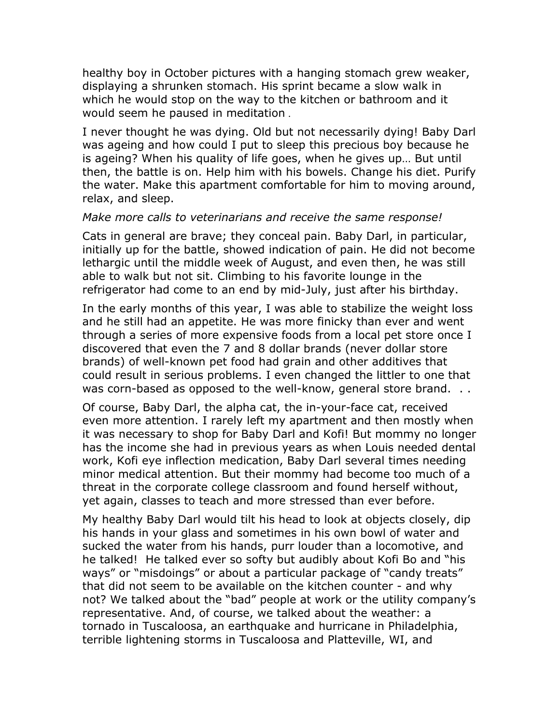healthy boy in October pictures with a hanging stomach grew weaker, displaying a shrunken stomach. His sprint became a slow walk in which he would stop on the way to the kitchen or bathroom and it would seem he paused in meditation .

I never thought he was dying. Old but not necessarily dying! Baby Darl was ageing and how could I put to sleep this precious boy because he is ageing? When his quality of life goes, when he gives up… But until then, the battle is on. Help him with his bowels. Change his diet. Purify the water. Make this apartment comfortable for him to moving around, relax, and sleep.

### *Make more calls to veterinarians and receive the same response!*

Cats in general are brave; they conceal pain. Baby Darl, in particular, initially up for the battle, showed indication of pain. He did not become lethargic until the middle week of August, and even then, he was still able to walk but not sit. Climbing to his favorite lounge in the refrigerator had come to an end by mid-July, just after his birthday.

In the early months of this year, I was able to stabilize the weight loss and he still had an appetite. He was more finicky than ever and went through a series of more expensive foods from a local pet store once I discovered that even the 7 and 8 dollar brands (never dollar store brands) of well-known pet food had grain and other additives that could result in serious problems. I even changed the littler to one that was corn-based as opposed to the well-know, general store brand. ..

Of course, Baby Darl, the alpha cat, the in-your-face cat, received even more attention. I rarely left my apartment and then mostly when it was necessary to shop for Baby Darl and Kofi! But mommy no longer has the income she had in previous years as when Louis needed dental work, Kofi eye inflection medication, Baby Darl several times needing minor medical attention. But their mommy had become too much of a threat in the corporate college classroom and found herself without, yet again, classes to teach and more stressed than ever before.

My healthy Baby Darl would tilt his head to look at objects closely, dip his hands in your glass and sometimes in his own bowl of water and sucked the water from his hands, purr louder than a locomotive, and he talked! He talked ever so softy but audibly about Kofi Bo and "his ways" or "misdoings" or about a particular package of "candy treats" that did not seem to be available on the kitchen counter - and why not? We talked about the "bad" people at work or the utility company's representative. And, of course, we talked about the weather: a tornado in Tuscaloosa, an earthquake and hurricane in Philadelphia, terrible lightening storms in Tuscaloosa and Platteville, WI, and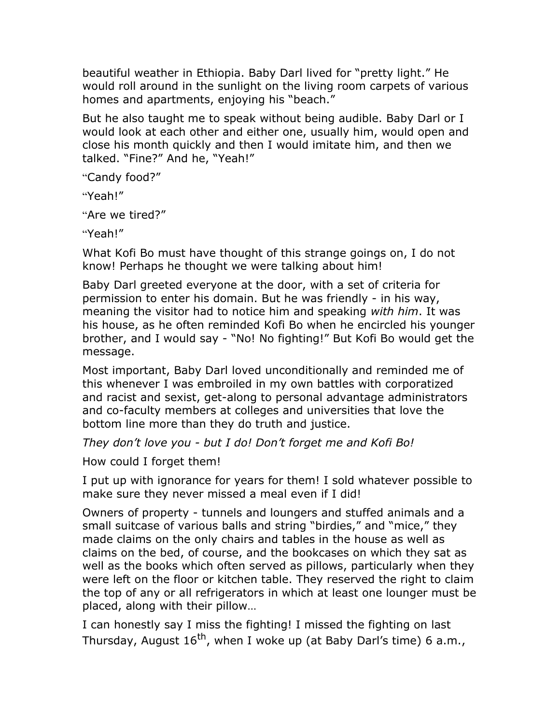beautiful weather in Ethiopia. Baby Darl lived for "pretty light." He would roll around in the sunlight on the living room carpets of various homes and apartments, enjoying his "beach."

But he also taught me to speak without being audible. Baby Darl or I would look at each other and either one, usually him, would open and close his month quickly and then I would imitate him, and then we talked. "Fine?" And he, "Yeah!"

"Candy food?"

"Yeah!"

"Are we tired?"

"Yeah!"

What Kofi Bo must have thought of this strange goings on, I do not know! Perhaps he thought we were talking about him!

Baby Darl greeted everyone at the door, with a set of criteria for permission to enter his domain. But he was friendly - in his way, meaning the visitor had to notice him and speaking *with him*. It was his house, as he often reminded Kofi Bo when he encircled his younger brother, and I would say - "No! No fighting!" But Kofi Bo would get the message.

Most important, Baby Darl loved unconditionally and reminded me of this whenever I was embroiled in my own battles with corporatized and racist and sexist, get-along to personal advantage administrators and co-faculty members at colleges and universities that love the bottom line more than they do truth and justice.

*They don't love you - but I do! Don't forget me and Kofi Bo!*

How could I forget them!

I put up with ignorance for years for them! I sold whatever possible to make sure they never missed a meal even if I did!

Owners of property - tunnels and loungers and stuffed animals and a small suitcase of various balls and string "birdies," and "mice," they made claims on the only chairs and tables in the house as well as claims on the bed, of course, and the bookcases on which they sat as well as the books which often served as pillows, particularly when they were left on the floor or kitchen table. They reserved the right to claim the top of any or all refrigerators in which at least one lounger must be placed, along with their pillow…

I can honestly say I miss the fighting! I missed the fighting on last Thursday, August  $16^{th}$ , when I woke up (at Baby Darl's time) 6 a.m.,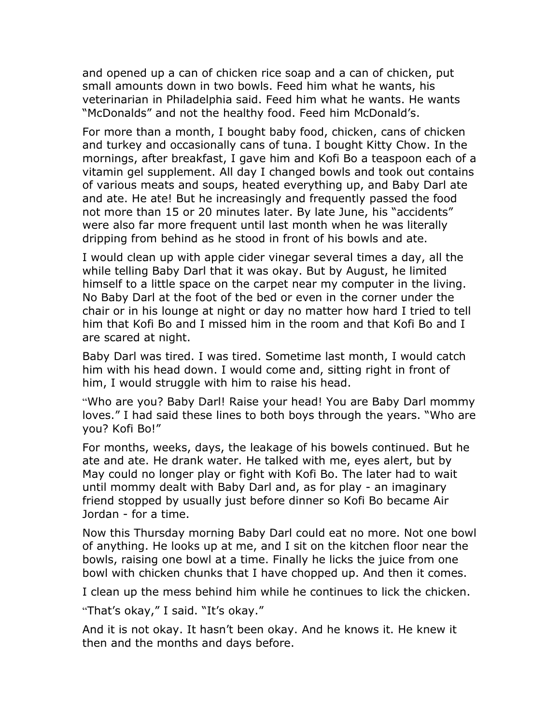and opened up a can of chicken rice soap and a can of chicken, put small amounts down in two bowls. Feed him what he wants, his veterinarian in Philadelphia said. Feed him what he wants. He wants "McDonalds" and not the healthy food. Feed him McDonald's.

For more than a month, I bought baby food, chicken, cans of chicken and turkey and occasionally cans of tuna. I bought Kitty Chow. In the mornings, after breakfast, I gave him and Kofi Bo a teaspoon each of a vitamin gel supplement. All day I changed bowls and took out contains of various meats and soups, heated everything up, and Baby Darl ate and ate. He ate! But he increasingly and frequently passed the food not more than 15 or 20 minutes later. By late June, his "accidents" were also far more frequent until last month when he was literally dripping from behind as he stood in front of his bowls and ate.

I would clean up with apple cider vinegar several times a day, all the while telling Baby Darl that it was okay. But by August, he limited himself to a little space on the carpet near my computer in the living. No Baby Darl at the foot of the bed or even in the corner under the chair or in his lounge at night or day no matter how hard I tried to tell him that Kofi Bo and I missed him in the room and that Kofi Bo and I are scared at night.

Baby Darl was tired. I was tired. Sometime last month, I would catch him with his head down. I would come and, sitting right in front of him, I would struggle with him to raise his head.

"Who are you? Baby Darl! Raise your head! You are Baby Darl mommy loves." I had said these lines to both boys through the years. "Who are you? Kofi Bo!"

For months, weeks, days, the leakage of his bowels continued. But he ate and ate. He drank water. He talked with me, eyes alert, but by May could no longer play or fight with Kofi Bo. The later had to wait until mommy dealt with Baby Darl and, as for play - an imaginary friend stopped by usually just before dinner so Kofi Bo became Air Jordan - for a time.

Now this Thursday morning Baby Darl could eat no more. Not one bowl of anything. He looks up at me, and I sit on the kitchen floor near the bowls, raising one bowl at a time. Finally he licks the juice from one bowl with chicken chunks that I have chopped up. And then it comes.

I clean up the mess behind him while he continues to lick the chicken.

"That's okay," I said. "It's okay."

And it is not okay. It hasn't been okay. And he knows it. He knew it then and the months and days before.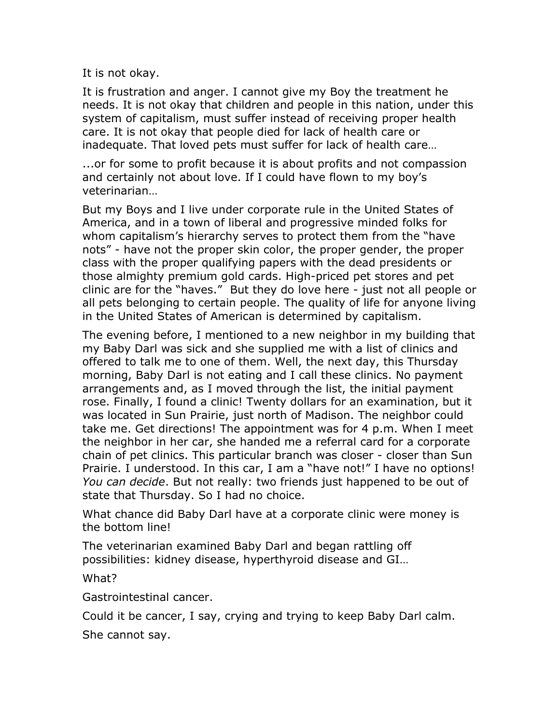It is not okay.

It is frustration and anger. I cannot give my Boy the treatment he needs. It is not okay that children and people in this nation, under this system of capitalism, must suffer instead of receiving proper health care. It is not okay that people died for lack of health care or inadequate. That loved pets must suffer for lack of health care…

...or for some to profit because it is about profits and not compassion and certainly not about love. If I could have flown to my boy's veterinarian…

But my Boys and I live under corporate rule in the United States of America, and in a town of liberal and progressive minded folks for whom capitalism's hierarchy serves to protect them from the "have nots" - have not the proper skin color, the proper gender, the proper class with the proper qualifying papers with the dead presidents or those almighty premium gold cards. High-priced pet stores and pet clinic are for the "haves." But they do love here - just not all people or all pets belonging to certain people. The quality of life for anyone living in the United States of American is determined by capitalism.

The evening before, I mentioned to a new neighbor in my building that my Baby Darl was sick and she supplied me with a list of clinics and offered to talk me to one of them. Well, the next day, this Thursday morning, Baby Darl is not eating and I call these clinics. No payment arrangements and, as I moved through the list, the initial payment rose. Finally, I found a clinic! Twenty dollars for an examination, but it was located in Sun Prairie, just north of Madison. The neighbor could take me. Get directions! The appointment was for 4 p.m. When I meet the neighbor in her car, she handed me a referral card for a corporate chain of pet clinics. This particular branch was closer - closer than Sun Prairie. I understood. In this car, I am a "have not!" I have no options! *You can decide*. But not really: two friends just happened to be out of state that Thursday. So I had no choice.

What chance did Baby Darl have at a corporate clinic were money is the bottom line!

The veterinarian examined Baby Darl and began rattling off possibilities: kidney disease, hyperthyroid disease and GI…

What?

Gastrointestinal cancer.

Could it be cancer, I say, crying and trying to keep Baby Darl calm.

She cannot say.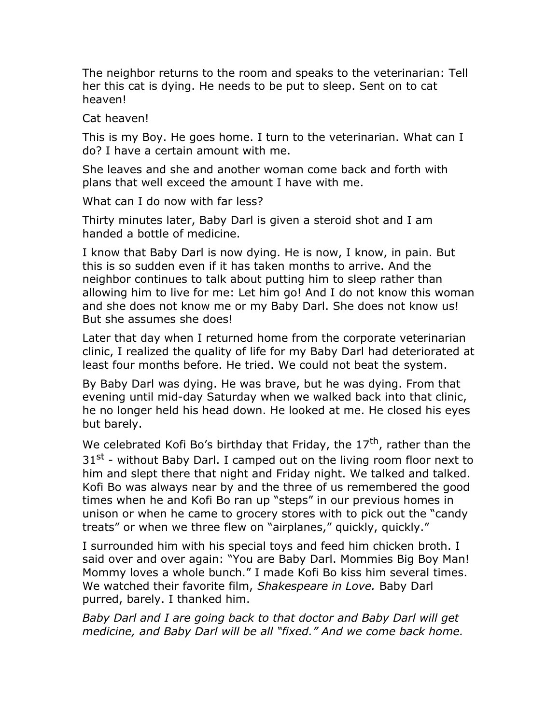The neighbor returns to the room and speaks to the veterinarian: Tell her this cat is dying. He needs to be put to sleep. Sent on to cat heaven!

## Cat heaven!

This is my Boy. He goes home. I turn to the veterinarian. What can I do? I have a certain amount with me.

She leaves and she and another woman come back and forth with plans that well exceed the amount I have with me.

What can I do now with far less?

Thirty minutes later, Baby Darl is given a steroid shot and I am handed a bottle of medicine.

I know that Baby Darl is now dying. He is now, I know, in pain. But this is so sudden even if it has taken months to arrive. And the neighbor continues to talk about putting him to sleep rather than allowing him to live for me: Let him go! And I do not know this woman and she does not know me or my Baby Darl. She does not know us! But she assumes she does!

Later that day when I returned home from the corporate veterinarian clinic, I realized the quality of life for my Baby Darl had deteriorated at least four months before. He tried. We could not beat the system.

By Baby Darl was dying. He was brave, but he was dying. From that evening until mid-day Saturday when we walked back into that clinic, he no longer held his head down. He looked at me. He closed his eyes but barely.

We celebrated Kofi Bo's birthday that Friday, the  $17<sup>th</sup>$ , rather than the  $31<sup>st</sup>$  - without Baby Darl. I camped out on the living room floor next to him and slept there that night and Friday night. We talked and talked. Kofi Bo was always near by and the three of us remembered the good times when he and Kofi Bo ran up "steps" in our previous homes in unison or when he came to grocery stores with to pick out the "candy treats" or when we three flew on "airplanes," quickly, quickly."

I surrounded him with his special toys and feed him chicken broth. I said over and over again: "You are Baby Darl. Mommies Big Boy Man! Mommy loves a whole bunch." I made Kofi Bo kiss him several times. We watched their favorite film, *Shakespeare in Love.* Baby Darl purred, barely. I thanked him.

*Baby Darl and I are going back to that doctor and Baby Darl will get medicine, and Baby Darl will be all "fixed." And we come back home.*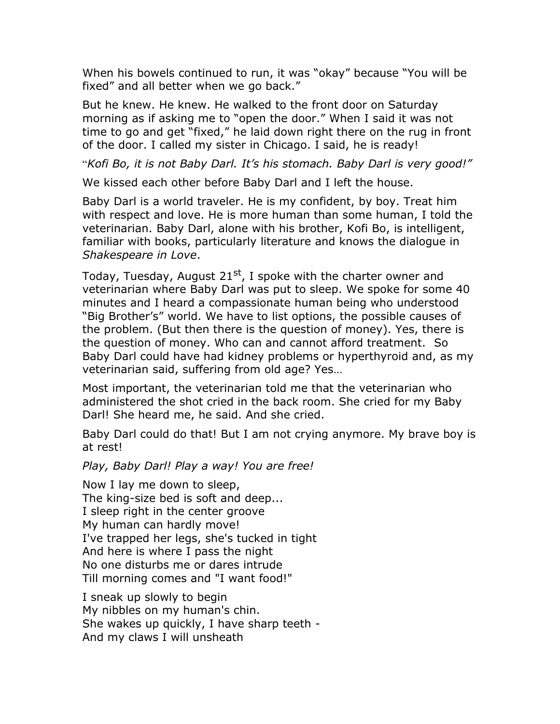When his bowels continued to run, it was "okay" because "You will be fixed" and all better when we go back."

But he knew. He knew. He walked to the front door on Saturday morning as if asking me to "open the door." When I said it was not time to go and get "fixed," he laid down right there on the rug in front of the door. I called my sister in Chicago. I said, he is ready!

"*Kofi Bo, it is not Baby Darl. It's his stomach. Baby Darl is very good!"* 

We kissed each other before Baby Darl and I left the house.

Baby Darl is a world traveler. He is my confident, by boy. Treat him with respect and love. He is more human than some human, I told the veterinarian. Baby Darl, alone with his brother, Kofi Bo, is intelligent, familiar with books, particularly literature and knows the dialogue in *Shakespeare in Love*.

Today, Tuesday, August 21<sup>st</sup>, I spoke with the charter owner and veterinarian where Baby Darl was put to sleep. We spoke for some 40 minutes and I heard a compassionate human being who understood "Big Brother's" world. We have to list options, the possible causes of the problem. (But then there is the question of money). Yes, there is the question of money. Who can and cannot afford treatment. So Baby Darl could have had kidney problems or hyperthyroid and, as my veterinarian said, suffering from old age? Yes…

Most important, the veterinarian told me that the veterinarian who administered the shot cried in the back room. She cried for my Baby Darl! She heard me, he said. And she cried.

Baby Darl could do that! But I am not crying anymore. My brave boy is at rest!

*Play, Baby Darl! Play a way! You are free!* 

Now I lay me down to sleep, The king-size bed is soft and deep... I sleep right in the center groove My human can hardly move! I've trapped her legs, she's tucked in tight And here is where I pass the night No one disturbs me or dares intrude Till morning comes and "I want food!"

I sneak up slowly to begin My nibbles on my human's chin. She wakes up quickly, I have sharp teeth - And my claws I will unsheath